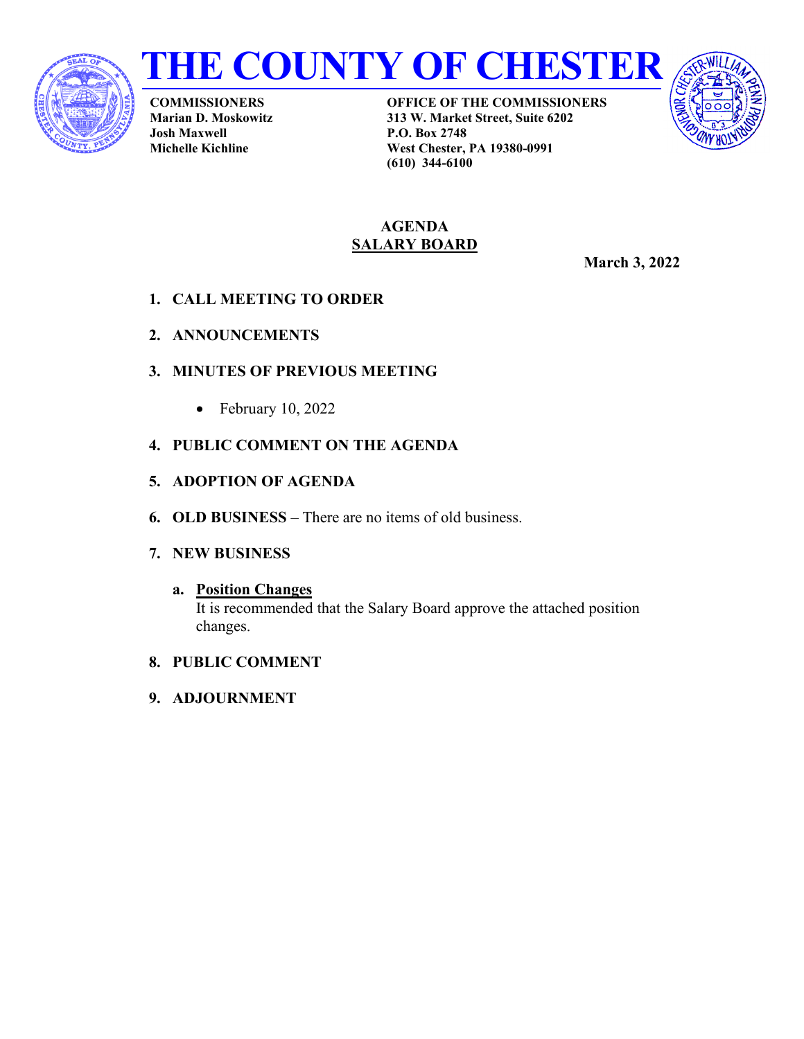



**COMMISSIONERS Marian D. Moskowitz Josh Maxwell Michelle Kichline**

**OFFICE OF THE COMMISSIONERS 313 W. Market Street, Suite 6202 P.O. Box 2748 West Chester, PA 19380-0991 (610) 344-6100**



#### **AGENDA SALARY BOARD**

**March 3, 2022**

- **1. CALL MEETING TO ORDER**
- **2. ANNOUNCEMENTS**
- **3. MINUTES OF PREVIOUS MEETING**
	- February 10, 2022
- **4. PUBLIC COMMENT ON THE AGENDA**
- **5. ADOPTION OF AGENDA**
- **6. OLD BUSINESS** There are no items of old business.
- **7. NEW BUSINESS**

# **a. Position Changes**

It is recommended that the Salary Board approve the attached position changes.

- **8. PUBLIC COMMENT**
- **9. ADJOURNMENT**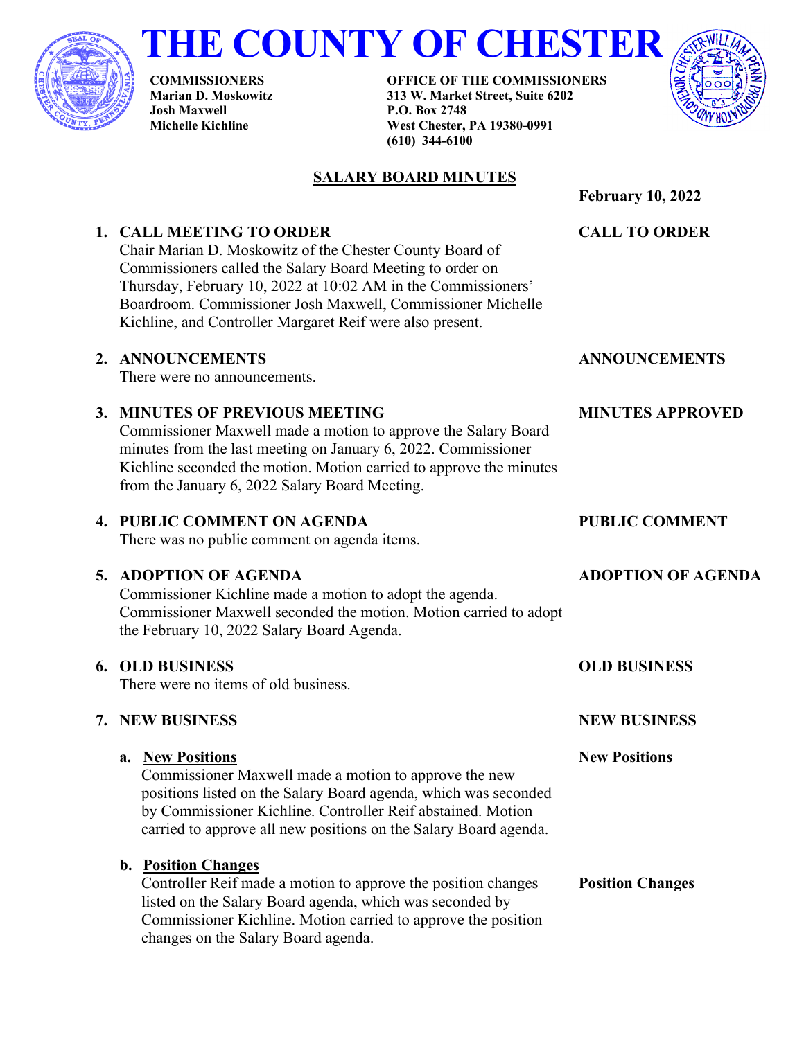

# **THE COUNTY OF CHESTER**

**COMMISSIONERS Marian D. Moskowitz Josh Maxwell Michelle Kichline**

**6. OLD BUSINESS**

**7. NEW BUSINESS**

**a. New Positions**

**OFFICE OF THE COMMISSIONERS 313 W. Market Street, Suite 6202 P.O. Box 2748 West Chester, PA 19380-0991 (610) 344-6100**



#### **SALARY BOARD MINUTES**

**February 10, 2022 1. CALL MEETING TO ORDER** Chair Marian D. Moskowitz of the Chester County Board of Commissioners called the Salary Board Meeting to order on Thursday, February 10, 2022 at 10:02 AM in the Commissioners' Boardroom. Commissioner Josh Maxwell, Commissioner Michelle Kichline, and Controller Margaret Reif were also present. **CALL TO ORDER 2. ANNOUNCEMENTS** There were no announcements. **ANNOUNCEMENTS 3. MINUTES OF PREVIOUS MEETING** Commissioner Maxwell made a motion to approve the Salary Board minutes from the last meeting on January 6, 2022. Commissioner Kichline seconded the motion. Motion carried to approve the minutes from the January 6, 2022 Salary Board Meeting. **MINUTES APPROVED 4. PUBLIC COMMENT ON AGENDA** There was no public comment on agenda items. **PUBLIC COMMENT 5. ADOPTION OF AGENDA** Commissioner Kichline made a motion to adopt the agenda. Commissioner Maxwell seconded the motion. Motion carried to adopt the February 10, 2022 Salary Board Agenda. There were no items of old business. Commissioner Maxwell made a motion to approve the new positions listed on the Salary Board agenda, which was seconded by Commissioner Kichline. Controller Reif abstained. Motion carried to approve all new positions on the Salary Board agenda. **b. Position Changes OLD BUSINESS NEW BUSINESS New Positions**

Controller Reif made a motion to approve the position changes listed on the Salary Board agenda, which was seconded by Commissioner Kichline. Motion carried to approve the position changes on the Salary Board agenda. **Position Changes**

**ADOPTION OF AGENDA**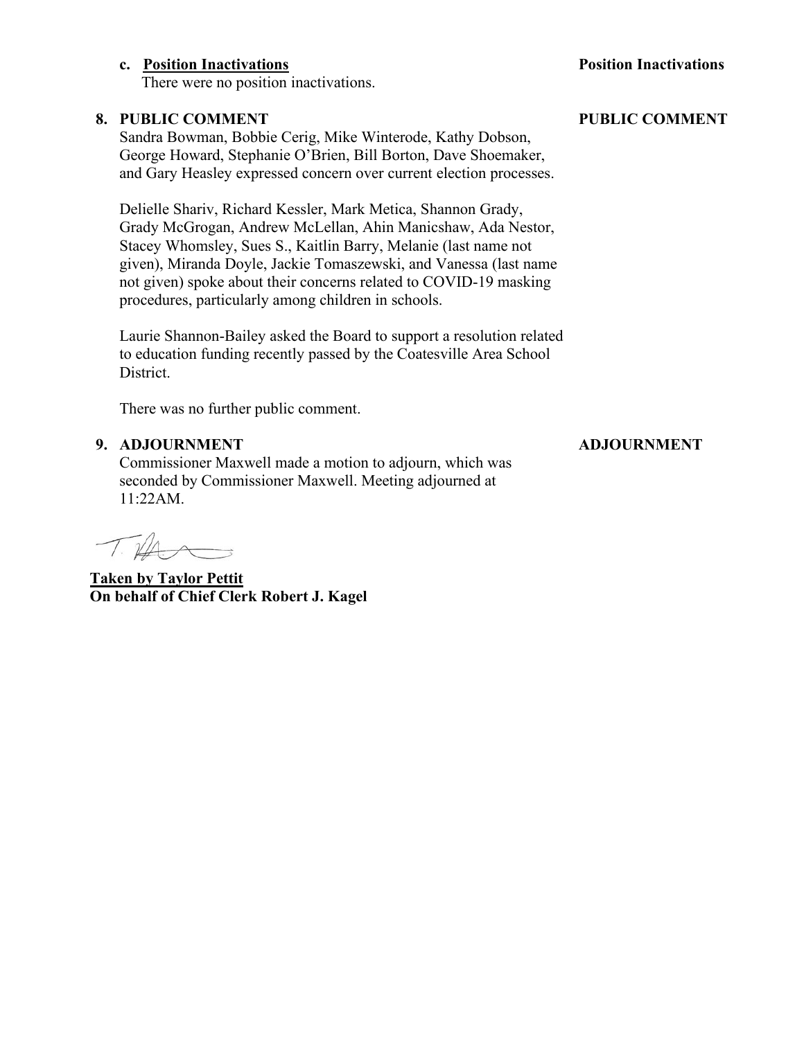#### **c. Position Inactivations**

There were no position inactivations.

#### **8. PUBLIC COMMENT**

Sandra Bowman, Bobbie Cerig, Mike Winterode, Kathy Dobson, George Howard, Stephanie O'Brien, Bill Borton, Dave Shoemaker, and Gary Heasley expressed concern over current election processes.

Delielle Shariv, Richard Kessler, Mark Metica, Shannon Grady, Grady McGrogan, Andrew McLellan, Ahin Manicshaw, Ada Nestor, Stacey Whomsley, Sues S., Kaitlin Barry, Melanie (last name not given), Miranda Doyle, Jackie Tomaszewski, and Vanessa (last name not given) spoke about their concerns related to COVID-19 masking procedures, particularly among children in schools.

Laurie Shannon-Bailey asked the Board to support a resolution related to education funding recently passed by the Coatesville Area School District.

There was no further public comment.

#### **9. ADJOURNMENT**

Commissioner Maxwell made a motion to adjourn, which was seconded by Commissioner Maxwell. Meeting adjourned at 11:22AM.

THA

**Taken by Taylor Pettit On behalf of Chief Clerk Robert J. Kagel**

#### **PUBLIC COMMENT**

**Position Inactivations**

## **ADJOURNMENT**